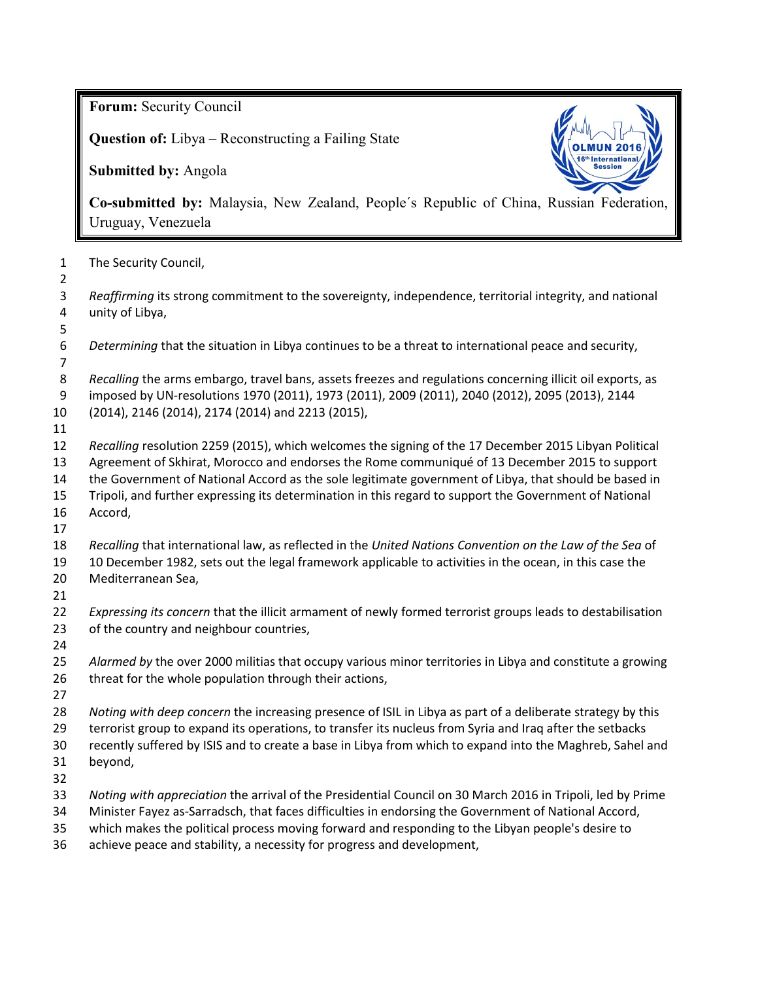**Forum:** Security Council

**Question of:** Libya – Reconstructing a Failing State

**Submitted by:** Angola



**Co-submitted by:** Malaysia, New Zealand, People´s Republic of China, Russian Federation, Uruguay, Venezuela

| The Security Council, |
|-----------------------|
|                       |

 *Reaffirming* its strong commitment to the sovereignty, independence, territorial integrity, and national unity of Libya,

- *Determining* that the situation in Libya continues to be a threat to international peace and security,
- - *Recalling* the arms embargo, travel bans, assets freezes and regulations concerning illicit oil exports, as imposed by UN-resolutions 1970 (2011), 1973 (2011), 2009 (2011), 2040 (2012), 2095 (2013), 2144
- (2014), 2146 (2014), 2174 (2014) and 2213 (2015),
- 
- *Recalling* resolution 2259 (2015), which welcomes the signing of the 17 December 2015 Libyan Political Agreement of Skhirat, Morocco and endorses the Rome communiqué of 13 December 2015 to support
- the Government of National Accord as the sole legitimate government of Libya, that should be based in
- Tripoli, and further expressing its determination in this regard to support the Government of National
- Accord,
- 
- *Recalling* that international law, as reflected in the *United Nations Convention on the Law of the Sea* of
- 10 December 1982, sets out the legal framework applicable to activities in the ocean, in this case the Mediterranean Sea,
- 
- *Expressing its concern* that the illicit armament of newly formed terrorist groups leads to destabilisation of the country and neighbour countries,
- 
- *Alarmed by* the over 2000 militias that occupy various minor territories in Libya and constitute a growing 26 threat for the whole population through their actions,
- 
- *Noting with deep concern* the increasing presence of ISIL in Libya as part of a deliberate strategy by this
- terrorist group to expand its operations, to transfer its nucleus from Syria and Iraq after the setbacks
- recently suffered by ISIS and to create a base in Libya from which to expand into the Maghreb, Sahel and beyond,
- 
- *Noting with appreciation* the arrival of the Presidential Council on 30 March 2016 in Tripoli, led by Prime
- Minister Fayez as-Sarradsch, that faces difficulties in endorsing the Government of National Accord,
- which makes the political process moving forward and responding to the Libyan people's desire to
- achieve peace and stability, a necessity for progress and development,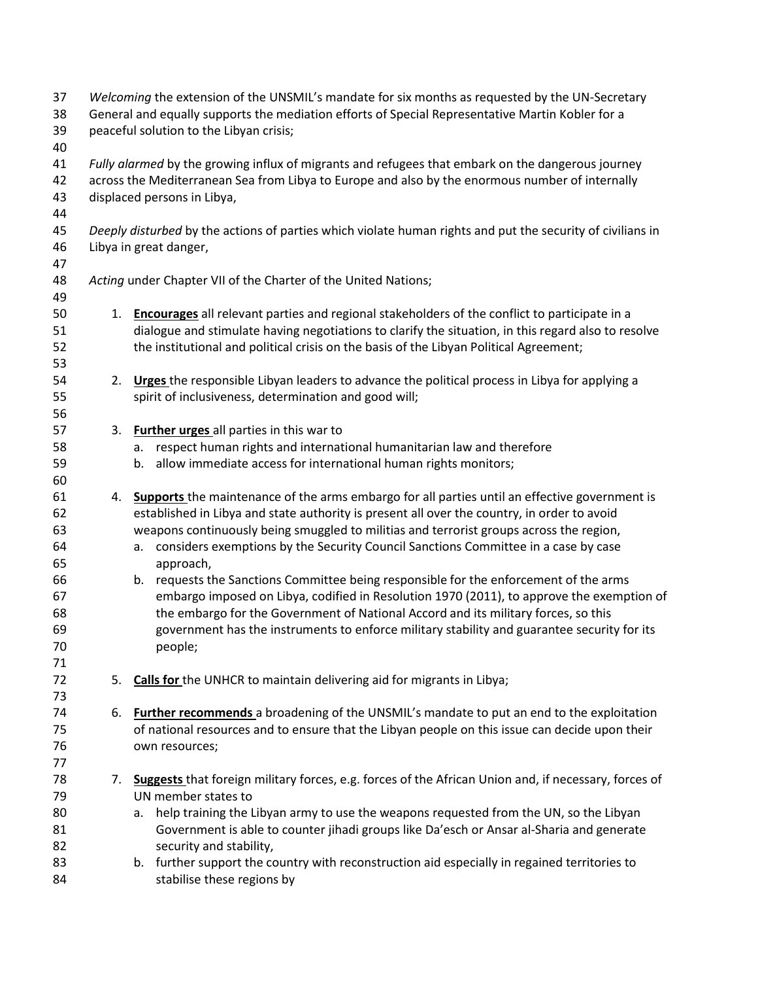| 37<br>38<br>39<br>40                                           | Welcoming the extension of the UNSMIL's mandate for six months as requested by the UN-Secretary<br>General and equally supports the mediation efforts of Special Representative Martin Kobler for a<br>peaceful solution to the Libyan crisis; |                                                                                                                                                                                                                                                                                                                                                                                                                                                                                                                                                                                                                                                                                                                                                                                        |  |  |
|----------------------------------------------------------------|------------------------------------------------------------------------------------------------------------------------------------------------------------------------------------------------------------------------------------------------|----------------------------------------------------------------------------------------------------------------------------------------------------------------------------------------------------------------------------------------------------------------------------------------------------------------------------------------------------------------------------------------------------------------------------------------------------------------------------------------------------------------------------------------------------------------------------------------------------------------------------------------------------------------------------------------------------------------------------------------------------------------------------------------|--|--|
| 41<br>42<br>43<br>44                                           | Fully alarmed by the growing influx of migrants and refugees that embark on the dangerous journey<br>across the Mediterranean Sea from Libya to Europe and also by the enormous number of internally<br>displaced persons in Libya,            |                                                                                                                                                                                                                                                                                                                                                                                                                                                                                                                                                                                                                                                                                                                                                                                        |  |  |
| 45<br>46<br>47                                                 | Deeply disturbed by the actions of parties which violate human rights and put the security of civilians in<br>Libya in great danger,                                                                                                           |                                                                                                                                                                                                                                                                                                                                                                                                                                                                                                                                                                                                                                                                                                                                                                                        |  |  |
| 48<br>49                                                       |                                                                                                                                                                                                                                                | Acting under Chapter VII of the Charter of the United Nations;                                                                                                                                                                                                                                                                                                                                                                                                                                                                                                                                                                                                                                                                                                                         |  |  |
| 50<br>51<br>52<br>53                                           |                                                                                                                                                                                                                                                | 1. Encourages all relevant parties and regional stakeholders of the conflict to participate in a<br>dialogue and stimulate having negotiations to clarify the situation, in this regard also to resolve<br>the institutional and political crisis on the basis of the Libyan Political Agreement;                                                                                                                                                                                                                                                                                                                                                                                                                                                                                      |  |  |
| 54<br>55<br>56                                                 |                                                                                                                                                                                                                                                | 2. Urges the responsible Libyan leaders to advance the political process in Libya for applying a<br>spirit of inclusiveness, determination and good will;                                                                                                                                                                                                                                                                                                                                                                                                                                                                                                                                                                                                                              |  |  |
| 57<br>58<br>59<br>60                                           | 3.                                                                                                                                                                                                                                             | <b>Further urges</b> all parties in this war to<br>respect human rights and international humanitarian law and therefore<br>a.<br>allow immediate access for international human rights monitors;<br>b.                                                                                                                                                                                                                                                                                                                                                                                                                                                                                                                                                                                |  |  |
| 61<br>62<br>63<br>64<br>65<br>66<br>67<br>68<br>69<br>70<br>71 | 4.                                                                                                                                                                                                                                             | Supports the maintenance of the arms embargo for all parties until an effective government is<br>established in Libya and state authority is present all over the country, in order to avoid<br>weapons continuously being smuggled to militias and terrorist groups across the region,<br>considers exemptions by the Security Council Sanctions Committee in a case by case<br>а.<br>approach,<br>b. requests the Sanctions Committee being responsible for the enforcement of the arms<br>embargo imposed on Libya, codified in Resolution 1970 (2011), to approve the exemption of<br>the embargo for the Government of National Accord and its military forces, so this<br>government has the instruments to enforce military stability and guarantee security for its<br>people; |  |  |
| 72<br>73                                                       | 5.                                                                                                                                                                                                                                             | Calls for the UNHCR to maintain delivering aid for migrants in Libya;                                                                                                                                                                                                                                                                                                                                                                                                                                                                                                                                                                                                                                                                                                                  |  |  |
| 74<br>75<br>76<br>77                                           | 6.                                                                                                                                                                                                                                             | Further recommends a broadening of the UNSMIL's mandate to put an end to the exploitation<br>of national resources and to ensure that the Libyan people on this issue can decide upon their<br>own resources;                                                                                                                                                                                                                                                                                                                                                                                                                                                                                                                                                                          |  |  |
| 78<br>79<br>80<br>81<br>82<br>83<br>84                         | 7.                                                                                                                                                                                                                                             | Suggests that foreign military forces, e.g. forces of the African Union and, if necessary, forces of<br>UN member states to<br>help training the Libyan army to use the weapons requested from the UN, so the Libyan<br>a.<br>Government is able to counter jihadi groups like Da'esch or Ansar al-Sharia and generate<br>security and stability,<br>b. further support the country with reconstruction aid especially in regained territories to<br>stabilise these regions by                                                                                                                                                                                                                                                                                                        |  |  |